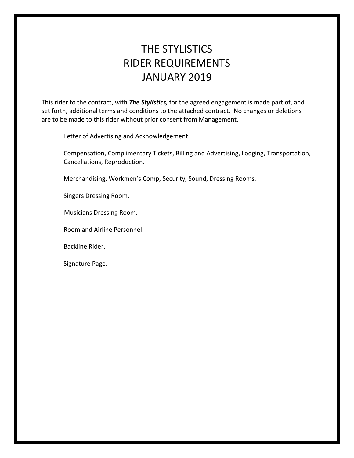# THE STYLISTICS RIDER REQUIREMENTS JANUARY 2019

This rider to the contract, with *The Stylistics,* for the agreed engagement is made part of, and set forth, additional terms and conditions to the attached contract. No changes or deletions are to be made to this rider without prior consent from Management.

Letter of Advertising and Acknowledgement.

 Compensation, Complimentary Tickets, Billing and Advertising, Lodging, Transportation, Cancellations, Reproduction.

Merchandising, Workmen's Comp, Security, Sound, Dressing Rooms,

Singers Dressing Room.

Musicians Dressing Room.

Room and Airline Personnel.

Backline Rider.

Signature Page.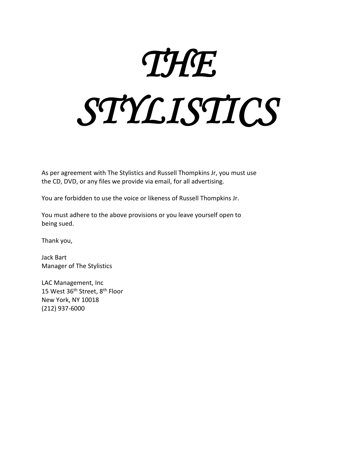# *THE STYLISTICS*

As per agreement with The Stylistics and Russell Thompkins Jr, you must use the CD, DVD, or any files we provide via email, for all advertising.

You are forbidden to use the voice or likeness of Russell Thompkins Jr.

You must adhere to the above provisions or you leave yourself open to being sued.

Thank you,

Jack Bart Manager of The Stylistics

LAC Management, Inc 15 West 36<sup>th</sup> Street, 8<sup>th</sup> Floor New York, NY 10018 (212) 937-6000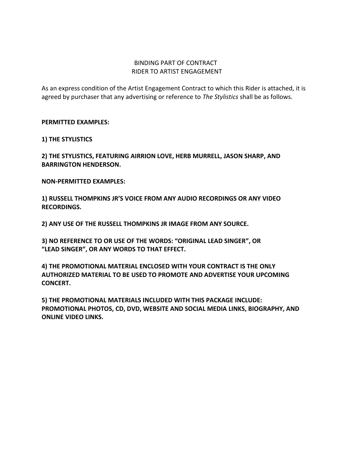# BINDING PART OF CONTRACT RIDER TO ARTIST ENGAGEMENT

As an express condition of the Artist Engagement Contract to which this Rider is attached, it is agreed by purchaser that any advertising or reference to *The Stylistics* shall be as follows.

**PERMITTED EXAMPLES:**

**1) THE STYLISTICS**

**2) THE STYLISTICS, FEATURING AIRRION LOVE, HERB MURRELL, JASON SHARP, AND BARRINGTON HENDERSON.**

**NON-PERMITTED EXAMPLES:**

**1) RUSSELL THOMPKINS JR'S VOICE FROM ANY AUDIO RECORDINGS OR ANY VIDEO RECORDINGS.**

**2) ANY USE OF THE RUSSELL THOMPKINS JR IMAGE FROM ANY SOURCE.**

**3) NO REFERENCE TO OR USE OF THE WORDS: "ORIGINAL LEAD SINGER", OR "LEAD SINGER", OR ANY WORDS TO THAT EFFECT.**

**4) THE PROMOTIONAL MATERIAL ENCLOSED WITH YOUR CONTRACT IS THE ONLY AUTHORIZED MATERIAL TO BE USED TO PROMOTE AND ADVERTISE YOUR UPCOMING CONCERT.**

**5) THE PROMOTIONAL MATERIALS INCLUDED WITH THIS PACKAGE INCLUDE: PROMOTIONAL PHOTOS, CD, DVD, WEBSITE AND SOCIAL MEDIA LINKS, BIOGRAPHY, AND ONLINE VIDEO LINKS.**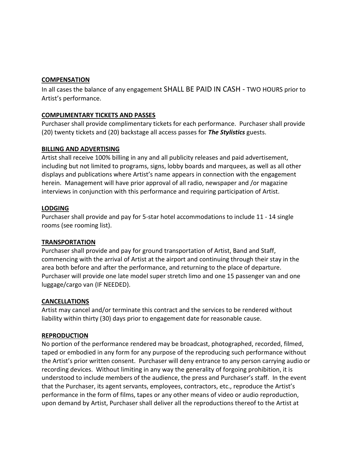# **COMPENSATION**

In all cases the balance of any engagement SHALL BE PAID IN CASH - TWO HOURS prior to Artist's performance.

# **COMPLIMENTARY TICKETS AND PASSES**

Purchaser shall provide complimentary tickets for each performance. Purchaser shall provide (20) twenty tickets and (20) backstage all access passes for *The Stylistics* guests.

# **BILLING AND ADVERTISING**

Artist shall receive 100% billing in any and all publicity releases and paid advertisement, including but not limited to programs, signs, lobby boards and marquees, as well as all other displays and publications where Artist's name appears in connection with the engagement herein. Management will have prior approval of all radio, newspaper and /or magazine interviews in conjunction with this performance and requiring participation of Artist.

# **LODGING**

Purchaser shall provide and pay for 5-star hotel accommodations to include 11 - 14 single rooms (see rooming list).

## **TRANSPORTATION**

Purchaser shall provide and pay for ground transportation of Artist, Band and Staff, commencing with the arrival of Artist at the airport and continuing through their stay in the area both before and after the performance, and returning to the place of departure. Purchaser will provide one late model super stretch limo and one 15 passenger van and one luggage/cargo van (IF NEEDED).

## **CANCELLATIONS**

Artist may cancel and/or terminate this contract and the services to be rendered without liability within thirty (30) days prior to engagement date for reasonable cause.

# **REPRODUCTION**

No portion of the performance rendered may be broadcast, photographed, recorded, filmed, taped or embodied in any form for any purpose of the reproducing such performance without the Artist's prior written consent. Purchaser will deny entrance to any person carrying audio or recording devices. Without limiting in any way the generality of forgoing prohibition, it is understood to include members of the audience, the press and Purchaser's staff. In the event that the Purchaser, its agent servants, employees, contractors, etc., reproduce the Artist's performance in the form of films, tapes or any other means of video or audio reproduction, upon demand by Artist, Purchaser shall deliver all the reproductions thereof to the Artist at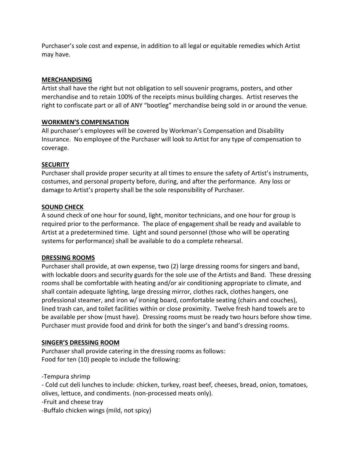Purchaser's sole cost and expense, in addition to all legal or equitable remedies which Artist may have.

# **MERCHANDISING**

Artist shall have the right but not obligation to sell souvenir programs, posters, and other merchandise and to retain 100% of the receipts minus building charges. Artist reserves the right to confiscate part or all of ANY "bootleg" merchandise being sold in or around the venue.

# **WORKMEN'S COMPENSATION**

All purchaser's employees will be covered by Workman's Compensation and Disability Insurance. No employee of the Purchaser will look to Artist for any type of compensation to coverage.

# **SECURITY**

Purchaser shall provide proper security at all times to ensure the safety of Artist's instruments, costumes, and personal property before, during, and after the performance. Any loss or damage to Artist's property shall be the sole responsibility of Purchaser.

# **SOUND CHECK**

A sound check of one hour for sound, light, monitor technicians, and one hour for group is required prior to the performance. The place of engagement shall be ready and available to Artist at a predetermined time. Light and sound personnel (those who will be operating systems for performance) shall be available to do a complete rehearsal.

## **DRESSING ROOMS**

Purchaser shall provide, at own expense, two (2) large dressing rooms for singers and band, with lockable doors and security guards for the sole use of the Artists and Band. These dressing rooms shall be comfortable with heating and/or air conditioning appropriate to climate, and shall contain adequate lighting, large dressing mirror, clothes rack, clothes hangers, one professional steamer, and iron w/ ironing board, comfortable seating (chairs and couches), lined trash can, and toilet facilities within or close proximity. Twelve fresh hand towels are to be available per show (must have). Dressing rooms must be ready two hours before show time. Purchaser must provide food and drink for both the singer's and band's dressing rooms.

## **SINGER'S DRESSING ROOM**

Purchaser shall provide catering in the dressing rooms as follows: Food for ten (10) people to include the following:

-Tempura shrimp

- Cold cut deli lunches to include: chicken, turkey, roast beef, cheeses, bread, onion, tomatoes, olives, lettuce, and condiments. (non-processed meats only).

-Fruit and cheese tray

-Buffalo chicken wings (mild, not spicy)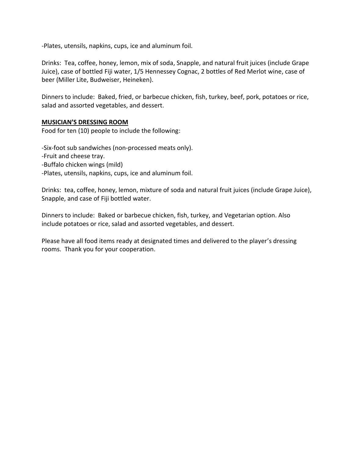-Plates, utensils, napkins, cups, ice and aluminum foil.

Drinks: Tea, coffee, honey, lemon, mix of soda, Snapple, and natural fruit juices (include Grape Juice), case of bottled Fiji water, 1/5 Hennessey Cognac, 2 bottles of Red Merlot wine, case of beer (Miller Lite, Budweiser, Heineken).

Dinners to include: Baked, fried, or barbecue chicken, fish, turkey, beef, pork, potatoes or rice, salad and assorted vegetables, and dessert.

#### **MUSICIAN'S DRESSING ROOM**

Food for ten (10) people to include the following:

-Six-foot sub sandwiches (non-processed meats only). -Fruit and cheese tray. -Buffalo chicken wings (mild) -Plates, utensils, napkins, cups, ice and aluminum foil.

Drinks: tea, coffee, honey, lemon, mixture of soda and natural fruit juices (include Grape Juice), Snapple, and case of Fiji bottled water.

Dinners to include: Baked or barbecue chicken, fish, turkey, and Vegetarian option. Also include potatoes or rice, salad and assorted vegetables, and dessert.

Please have all food items ready at designated times and delivered to the player's dressing rooms. Thank you for your cooperation.